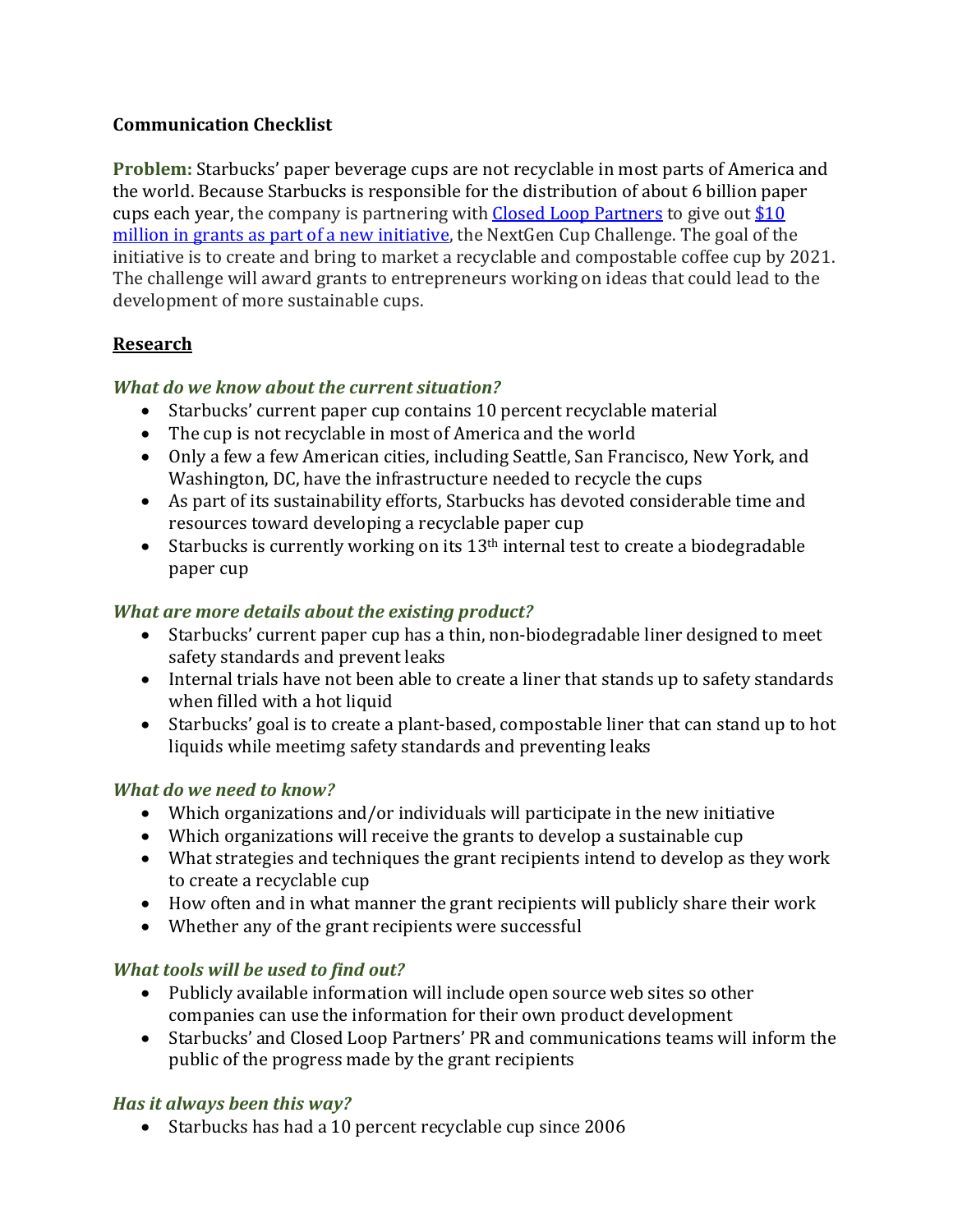# **Communication Checklist**

**Problem:** Starbucks' paper beverage cups are not recyclable in most parts of America and the world. Because Starbucks is responsible for the distribution of about 6 billion paper cups each year, the company is partnering with  $Closed Loop$  Partners to give out  $$10$ million in grants as part of a new initiative, the NextGen Cup Challenge. The goal of the initiative is to create and bring to market a recyclable and compostable coffee cup by 2021. The challenge will award grants to entrepreneurs working on ideas that could lead to the development of more sustainable cups.

# **Research**

### **What do we know about the current situation?**

- Starbucks' current paper cup contains 10 percent recyclable material
- The cup is not recyclable in most of America and the world
- Only a few a few American cities, including Seattle, San Francisco, New York, and Washington, DC, have the infrastructure needed to recycle the cups
- As part of its sustainability efforts, Starbucks has devoted considerable time and resources toward developing a recyclable paper cup
- Starbucks is currently working on its  $13<sup>th</sup>$  internal test to create a biodegradable paper cup

### *What are more details about the existing product?*

- Starbucks' current paper cup has a thin, non-biodegradable liner designed to meet safety standards and prevent leaks
- Internal trials have not been able to create a liner that stands up to safety standards when filled with a hot liquid
- Starbucks' goal is to create a plant-based, compostable liner that can stand up to hot liquids while meetimg safety standards and preventing leaks

# *What do we need to know?*

- Which organizations and/or individuals will participate in the new initiative
- Which organizations will receive the grants to develop a sustainable cup
- What strategies and techniques the grant recipients intend to develop as they work to create a recyclable cup
- How often and in what manner the grant recipients will publicly share their work
- Whether any of the grant recipients were successful

# **What tools will be used to find out?**

- Publicly available information will include open source web sites so other companies can use the information for their own product development
- Starbucks' and Closed Loop Partners' PR and communications teams will inform the public of the progress made by the grant recipients

# Has it always been this way?

• Starbucks has had a 10 percent recyclable cup since 2006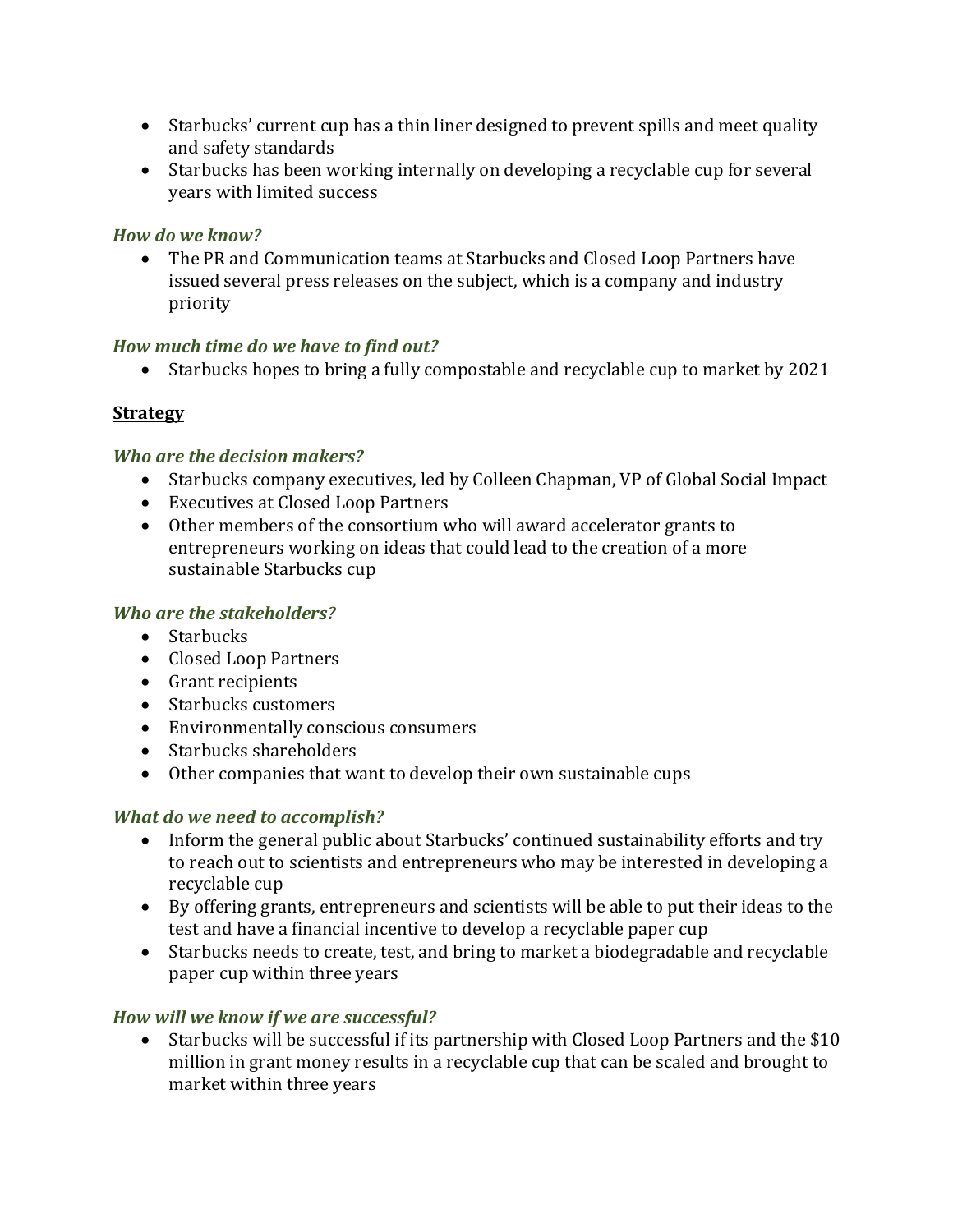- Starbucks' current cup has a thin liner designed to prevent spills and meet quality and safety standards
- Starbucks has been working internally on developing a recyclable cup for several years with limited success

### *How do we know?*

• The PR and Communication teams at Starbucks and Closed Loop Partners have issued several press releases on the subject, which is a company and industry priority

### How much time do we have to find out?

• Starbucks hopes to bring a fully compostable and recyclable cup to market by 2021

# **Strategy**

### *Who are the decision makers?*

- Starbucks company executives, led by Colleen Chapman, VP of Global Social Impact
- Executives at Closed Loop Partners
- Other members of the consortium who will award accelerator grants to entrepreneurs working on ideas that could lead to the creation of a more sustainable Starbucks cup

### *Who are the stakeholders?*

- Starbucks
- Closed Loop Partners
- Grant recipients
- Starbucks customers
- Environmentally conscious consumers
- Starbucks shareholders
- $\bullet$  Other companies that want to develop their own sustainable cups

#### *What do we need to accomplish?*

- Inform the general public about Starbucks' continued sustainability efforts and try to reach out to scientists and entrepreneurs who may be interested in developing a recyclable cup
- By offering grants, entrepreneurs and scientists will be able to put their ideas to the test and have a financial incentive to develop a recyclable paper cup
- Starbucks needs to create, test, and bring to market a biodegradable and recyclable paper cup within three years

# *How will we know if we are successful?*

• Starbucks will be successful if its partnership with Closed Loop Partners and the \$10 million in grant money results in a recyclable cup that can be scaled and brought to market within three years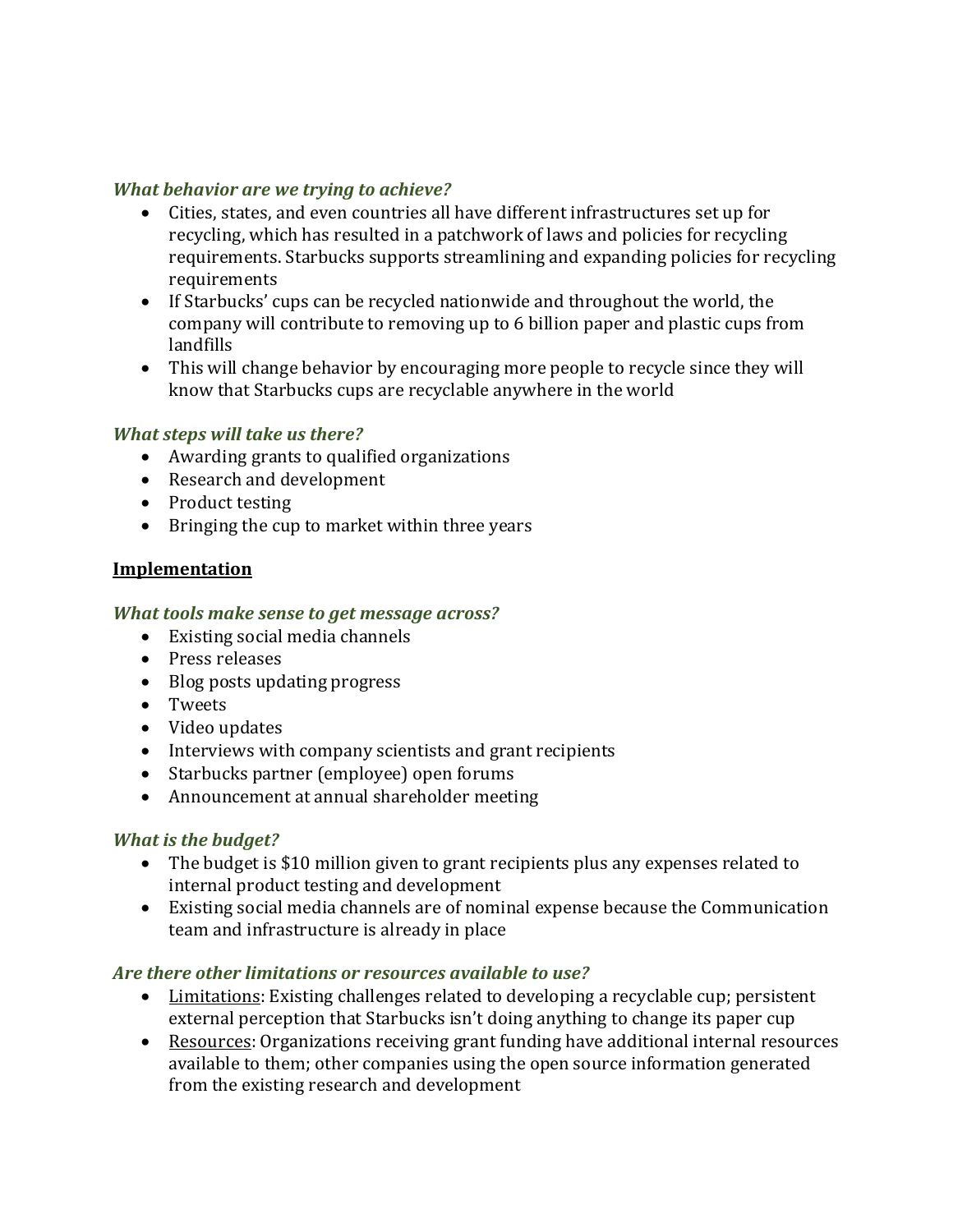#### *What behavior are we trying to achieve?*

- Cities, states, and even countries all have different infrastructures set up for recycling, which has resulted in a patchwork of laws and policies for recycling requirements. Starbucks supports streamlining and expanding policies for recycling requirements
- If Starbucks' cups can be recycled nationwide and throughout the world, the company will contribute to removing up to 6 billion paper and plastic cups from landfills
- This will change behavior by encouraging more people to recycle since they will know that Starbucks cups are recyclable anywhere in the world

#### *What steps will take us there?*

- Awarding grants to qualified organizations
- Research and development
- Product testing
- Bringing the cup to market within three years

#### **Implementation**

#### **What tools make sense to get message across?**

- Existing social media channels
- Press releases
- Blog posts updating progress
- Tweets
- Video updates
- Interviews with company scientists and grant recipients
- Starbucks partner (employee) open forums
- Announcement at annual shareholder meeting

#### *What is the budget?*

- The budget is \$10 million given to grant recipients plus any expenses related to internal product testing and development
- Existing social media channels are of nominal expense because the Communication team and infrastructure is already in place

#### Are there other limitations or resources available to use?

- Limitations: Existing challenges related to developing a recyclable cup; persistent external perception that Starbucks isn't doing anything to change its paper cup
- Resources: Organizations receiving grant funding have additional internal resources available to them; other companies using the open source information generated from the existing research and development